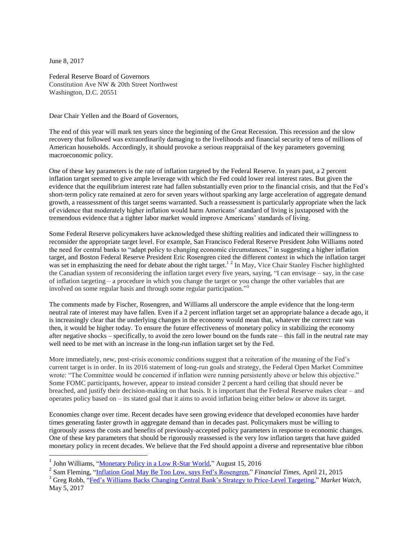June 8, 2017

Federal Reserve Board of Governors Constitution Ave NW & 20th Street Northwest Washington, D.C. 20551

Dear Chair Yellen and the Board of Governors,

The end of this year will mark ten years since the beginning of the Great Recession. This recession and the slow recovery that followed was extraordinarily damaging to the livelihoods and financial security of tens of millions of American households. Accordingly, it should provoke a serious reappraisal of the key parameters governing macroeconomic policy.

One of these key parameters is the rate of inflation targeted by the Federal Reserve. In years past, a 2 percent inflation target seemed to give ample leverage with which the Fed could lower real interest rates. But given the evidence that the equilibrium interest rate had fallen substantially even prior to the financial crisis, and that the Fed's short-term policy rate remained at zero for seven years without sparking any large acceleration of aggregate demand growth, a reassessment of this target seems warranted. Such a reassessment is particularly appropriate when the lack of evidence that moderately higher inflation would harm Americans' standard of living is juxtaposed with the tremendous evidence that a tighter labor market would improve Americans' standards of living.

Some Federal Reserve policymakers have acknowledged these shifting realities and indicated their willingness to reconsider the appropriate target level. For example, San Francisco Federal Reserve President John Williams noted the need for central banks to "adapt policy to changing economic circumstances," in suggesting a higher inflation target, and Boston Federal Reserve President Eric Rosengren cited the different context in which the inflation target was set in emphasizing the need for debate about the right target.<sup>12</sup> In May, Vice Chair Stanley Fischer highlighted the Canadian system of reconsidering the inflation target every five years, saying, "I can envisage – say, in the case of inflation targeting – a procedure in which you change the target or you change the other variables that are involved on some regular basis and through some regular participation." 3

The comments made by Fischer, Rosengren, and Williams all underscore the ample evidence that the long-term neutral rate of interest may have fallen. Even if a 2 percent inflation target set an appropriate balance a decade ago, it is increasingly clear that the underlying changes in the economy would mean that, whatever the correct rate was then, it would be higher today. To ensure the future effectiveness of monetary policy in stabilizing the economy after negative shocks – specifically, to avoid the zero lower bound on the funds rate – this fall in the neutral rate may well need to be met with an increase in the long-run inflation target set by the Fed.

More immediately, new, post-crisis economic conditions suggest that a reiteration of the meaning of the Fed's current target is in order. In its 2016 statement of long-run goals and strategy, the Federal Open Market Committee wrote: "The Committee would be concerned if inflation were running persistently above or below this objective." Some FOMC participants, however, appear to instead consider 2 percent a hard ceiling that should never be breached, and justify their decision-making on that basis. It is important that the Federal Reserve makes clear – and operates policy based on – its stated goal that it aims to avoid inflation being either below or above its target.

Economies change over time. Recent decades have seen growing evidence that developed economies have harder times generating faster growth in aggregate demand than in decades past. Policymakers must be willing to rigorously assess the costs and benefits of previously-accepted policy parameters in response to economic changes. One of these key parameters that should be rigorously reassessed is the very low inflation targets that have guided monetary policy in recent decades. We believe that the Fed should appoint a diverse and representative blue ribbon

<sup>3</sup> Greg Robb, ["Fed's Williams Backs Changing Central Bank's Strategy to Price-Level Targeting,"](http://www.marketwatch.com/story/feds-williams-backs-changing-central-banks-strategy-to-price-level-targeting-2017-05-05) *Market Watch,*  May 5, 2017

<sup>&</sup>lt;sup>1</sup> John Williams, ["Monetary Policy in a Low R-Star World,](http://www.frbsf.org/economic-research/publications/economic-letter/2016/august/monetary-policy-and-low-r-star-natural-rate-of-interest/)" August 15, 2016

<sup>2</sup> Sam Fleming, ["Inflation Goal May Be Too Low, says Fed's Rosengren,"](http://www.reuters.com/article/us-usa-fed-rosengren-idUSKBN0NC0EA20150421) *Financial Times,* April 21, 2015